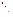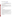# **Consumer Factsheet on: XYLENES**

# [List of Contaminants](http://www.epa.gov/safewater/hfacts.html)

 As part of the Drinking Water and Health pages, this fact sheet is part of a larger publication: **National Primary Drinking Water Regulations** 

 States Environmental Protection Agency (EPA). This is a factsheet about a chemical that may be found in some public or private drinking water supplies. It may cause health problems if found in amounts greater than the health standard set by the United

## **What is Xylene and how is it used?**

 A xylene is any of a group of very similar organic compounds. They are clear liquids with a sweet odor. The greatest use of xylenes is as a solvent which is much safer than benzene. Other uses include: in gasoline as part of the BTX component (benzene-toluene-xylene); Xylene mixtures are used to make phthalate plasticizers, polyester fiber, film and fabricated items.

 The list of trade names given below may help you find out whether you are using this chemical at home or work.

## **Trade Names and Synonyms:**

 Dimethyl benzene Xylol Methyltoluene Violet 3

#### **Why is Xylene being Regulated?**

 based solely on possible health risks and exposure, are called Maximum Contaminant Level Goals. In 1974, Congress passed the Safe Drinking Water Act. This law requires EPA to determine safe levels of chemicals in drinking water which do or may cause health problems. These non-enforceable levels,

 The MCLG for xylenes has been set at 10 parts per million (ppm) because EPA believes this level of protection would not cause any of the potential health problems described below.

 Based on this MCLG, EPA has set an enforceable standard called a Maximum Contaminant Level (MCL). MCLs are set as close to the MCLGs as possible, considering the ability of public water systems to detect and remove contaminants using suitable treatment technologies.

 The MCL has been set at 10 ppm because EPA believes, given present technology and resources, this is occur in drinking water. the lowest level to which water systems can reasonably be required to remove this contaminant should it

These drinking water standards and the regulations for ensuring these standards are met, are called National Primary Drinking Water Regulations. All public water supplies must abide by these regulations.

#### **What are the Health Effects?**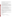Short-term: EPA has found xylenes to potentially cause the following health effects when people are exposed to it at levels above the MCL for relatively short periods of time: disturbances of cognitive abilities, balance, and coordination.

 above the MCL: damage to the central nervous system, liver and kidneys. Long-term: Xylenes has the potential to cause the following effects from a lifetime exposure at levels

#### **How much Xylene is produced and released to the environment?**

 Production of xylenes was 6.84 billion lbs. in 1993. Major environmental releases of xylenes are due to evaporation from the refining and use of petroleum products. It may also be released by leaks or spills during the transport and storage of gasoline and other fuels. Xylenes are a natural products of many plants, and are a component of petroleum and coal tar.

From 1987 to 1993, according to EPA's Toxic Chemical Release Inventory, xylene releases to land and water totalled nearly 4.8 billion lbs. These releases were primarily from petroleum refining industries. The largest releases occurred in Texas. The largest direct releases to water occurred in New Jersey and Georgia.

## **What happens to Xylene when it is released to the environment?**

 released to soil or water, xylenes will quickly evaporate. They may leach into ground water and persist there for several years. There is little potential for accumulation in aquatic life. Most of the xylenes are released into the atmosphere where they are quickly degraded by sunlight. When

## **How will Xylene be Detected in and Removed from My Drinking Water?**

 The regulation for xylenes became effective in 1992. Between 1993 and 1995, EPA required your water supplier to collect water samples every 3 months for one year and analyze them to find out if xylenes is contaminant. present above 0.5 ppb. If it is present above this level, the system must continue to monitor this

 Packed Tower Aeration. If contaminant levels are found to be consistently above the MCL, your water supplier must take steps to reduce the amount of xylenes so that it is consistently below that level. The following treatment methods have been approved by EPA for removing xylenes: Granular activated charcoal in combination with

#### **How will I know if Xylene is in my drinking water?**

 required to prevent serious risks to public health. If the levels of xylenes exceed the MCL, 10 ppm, the system must notify the public via newspapers, radio, TV and other means. Additional actions, such as providing alternative drinking water supplies, may be

# **Drinking Water Standards:**

Mclg: 10 ppm<br>Mcl: 10 ppm

Mcl: 10 ppm

**Xylene Releases to Water and Land, 1987 to 1993 (in pounds): Water Land** 

**TOTALS (in pounds) 875,943 3,897,738**